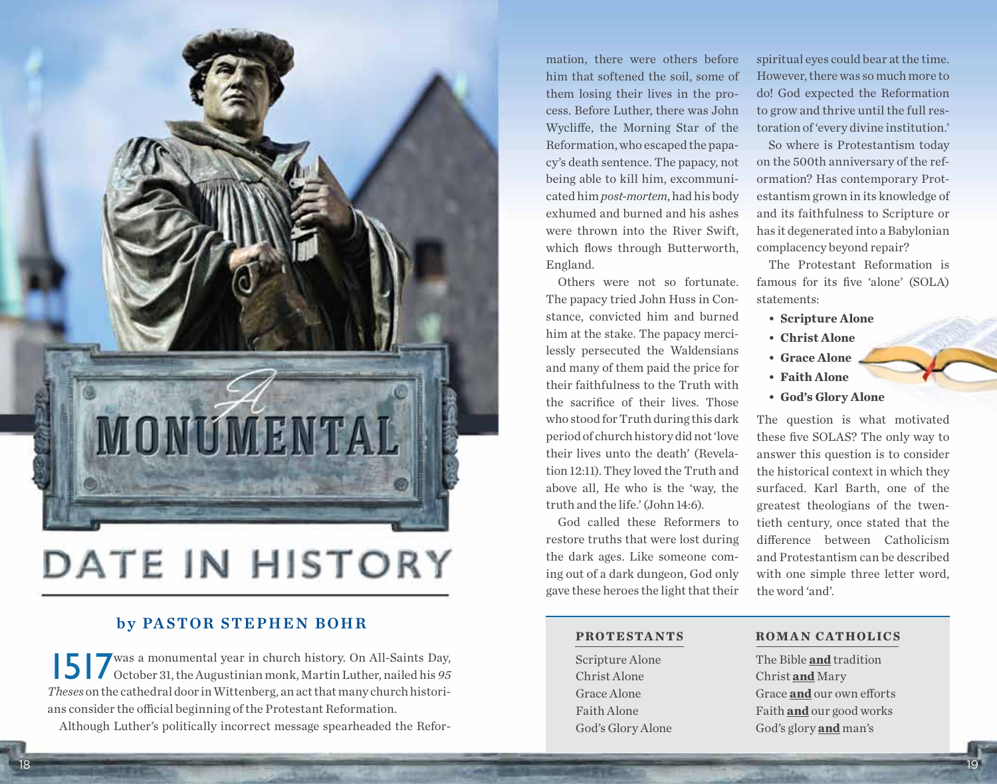

## DATE IN HISTORY

#### by PASTOR STEPHEN BOHR

1517was a monumental year in church history. On All-Saints Day, October 31, the Augustinian monk, Martin Luther, nailed his *95 Theses* on the cathedral door in Wittenberg, an act that many church historians consider the official beginning of the Protestant Reformation.

Although Luther's politically incorrect message spearheaded the Refor-

mation, there were others before him that softened the soil, some of them losing their lives in the process. Before Luther, there was John Wycliffe, the Morning Star of the Reformation, who escaped the papacy's death sentence. The papacy, not being able to kill him, excommunicated him *post-mortem*, had his body exhumed and burned and his ashes were thrown into the River Swift which flows through Butterworth, England.

Others were not so fortunate. The papacy tried John Huss in Constance, convicted him and burned him at the stake. The papacy mercilessly persecuted the Waldensians and many of them paid the price for their faithfulness to the Truth with the sacrifice of their lives. Those who stood for Truth during this dark period of church history did not 'love their lives unto the death' (Revelation 12:11). They loved the Truth and above all, He who is the 'way, the truth and the life.' (John 14:6).

God called these Reformers to restore truths that were lost during the dark ages. Like someone coming out of a dark dungeon, God only gave these heroes the light that their

spiritual eyes could bear at the time. However, there was so much more to do! God expected the Reformation to grow and thrive until the full restoration of 'every divine institution.'

So where is Protestantism today on the 500th anniversary of the reformation? Has contemporary Protestantism grown in its knowledge of and its faithfulness to Scripture or has it degenerated into a Babylonian complacency beyond repair?

The Protestant Reformation is famous for its five 'alone' (SOLA) statements:

- **• Scripture Alone**
- **• Christ Alone**
- **• Grace Alone**
- **• Faith Alone**
- **• God's Glory Alone**

The question is what motivated these five SOLAS? The only way to answer this question is to consider the historical context in which they surfaced. Karl Barth, one of the greatest theologians of the twentieth century, once stated that the difference between Catholicism and Protestantism can be described with one simple three letter word, the word 'and'.

#### **Protestants Roman Cathol ics**

Scripture Alone The Bible **and** tradition Christ Alone Christ **and** Mary Grace Alone Grace **and** our own efforts Faith Alone Faith **and** our good works God's Glory Alone God's glory **and** man's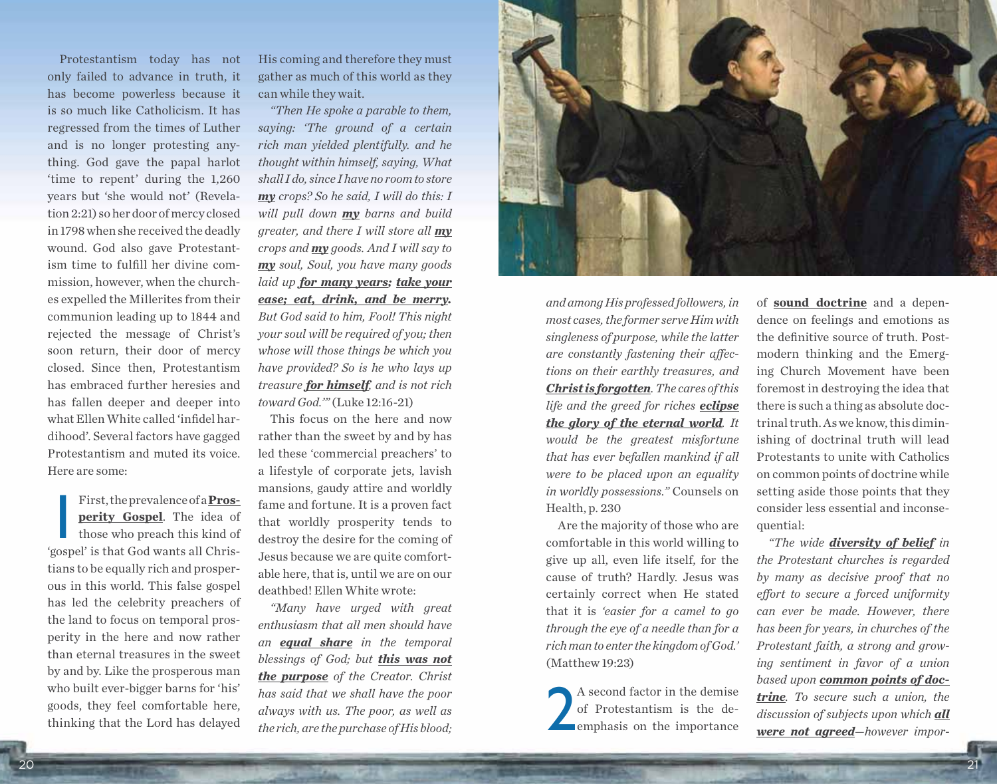Protestantism today has not only failed to advance in truth, it has become powerless because it is so much like Catholicism. It has regressed from the times of Luther and is no longer protesting anything. God gave the papal harlot 'time to repent' during the 1,260 years but 'she would not' (Revelation 2:21) so her door of mercy closed in 1798 when she received the deadly wound. God also gave Protestantism time to fulfill her divine commission, however, when the churches expelled the Millerites from their communion leading up to 1844 and rejected the message of Christ's soon return, their door of mercy closed. Since then, Protestantism has embraced further heresies and has fallen deeper and deeper into what Ellen White called 'infidel hardihood'. Several factors have gagged Protestantism and muted its voice. Here are some:

First, the prevalence of a <u>Prosperity Gospel</u>. The idea of those who preach this kind of 'gospel' is that God wants all Chris-First, the prevalence of a **Prosperity Gospel**. The idea of those who preach this kind of tians to be equally rich and prosperous in this world. This false gospel has led the celebrity preachers of the land to focus on temporal prosperity in the here and now rather than eternal treasures in the sweet by and by. Like the prosperous man who built ever-bigger barns for 'his' goods, they feel comfortable here, thinking that the Lord has delayed

His coming and therefore they must gather as much of this world as they can while they wait.

*"Then He spoke a parable to them, saying: 'The ground of a certain rich man yielded plentifully. and he thought within himself, saying, What shall I do, since I have no room to store my crops? So he said, I will do this: I will pull down my barns and build greater, and there I will store all my crops and my goods. And I will say to my soul, Soul, you have many goods laid up for many years; take your ease; eat, drink, and be merry. But God said to him, Fool! This night your soul will be required of you; then whose will those things be which you have provided? So is he who lays up treasure for himself, and is not rich toward God.'"* (Luke 12:16-21)

This focus on the here and now rather than the sweet by and by has led these 'commercial preachers' to a lifestyle of corporate jets, lavish mansions, gaudy attire and worldly fame and fortune. It is a proven fact that worldly prosperity tends to destroy the desire for the coming of Jesus because we are quite comfortable here, that is, until we are on our deathbed! Ellen White wrote:

*"Many have urged with great enthusiasm that all men should have an equal share in the temporal blessings of God; but this was not the purpose of the Creator. Christ has said that we shall have the poor always with us. The poor, as well as the rich, are the purchase of His blood;* 



*and among His professed followers, in most cases, the former serve Him with singleness of purpose, while the latter are constantly fastening their affections on their earthly treasures, and Christ is forgotten. The cares of this life and the greed for riches eclipse the glory of the eternal world. It would be the greatest misfortune that has ever befallen mankind if all were to be placed upon an equality in worldly possessions."* Counsels on Health, p. 230

Are the majority of those who are comfortable in this world willing to give up all, even life itself, for the cause of truth? Hardly. Jesus was certainly correct when He stated that it is *'easier for a camel to go through the eye of a needle than for a rich man to enter the kingdom of God.'* (Matthew 19:23)

2 A second factor in the demise of Protestantism is the deemphasis on the importance

of **sound doctrine** and a dependence on feelings and emotions as the definitive source of truth. Postmodern thinking and the Emerging Church Movement have been foremost in destroying the idea that there is such a thing as absolute doctrinal truth. As we know, this diminishing of doctrinal truth will lead Protestants to unite with Catholics on common points of doctrine while setting aside those points that they consider less essential and inconsequential:

*"The wide diversity of belief in the Protestant churches is regarded by many as decisive proof that no effort to secure a forced uniformity can ever be made. However, there has been for years, in churches of the Protestant faith, a strong and growing sentiment in favor of a union based upon common points of doctrine. To secure such a union, the discussion of subjects upon which all were not agreed—however impor-*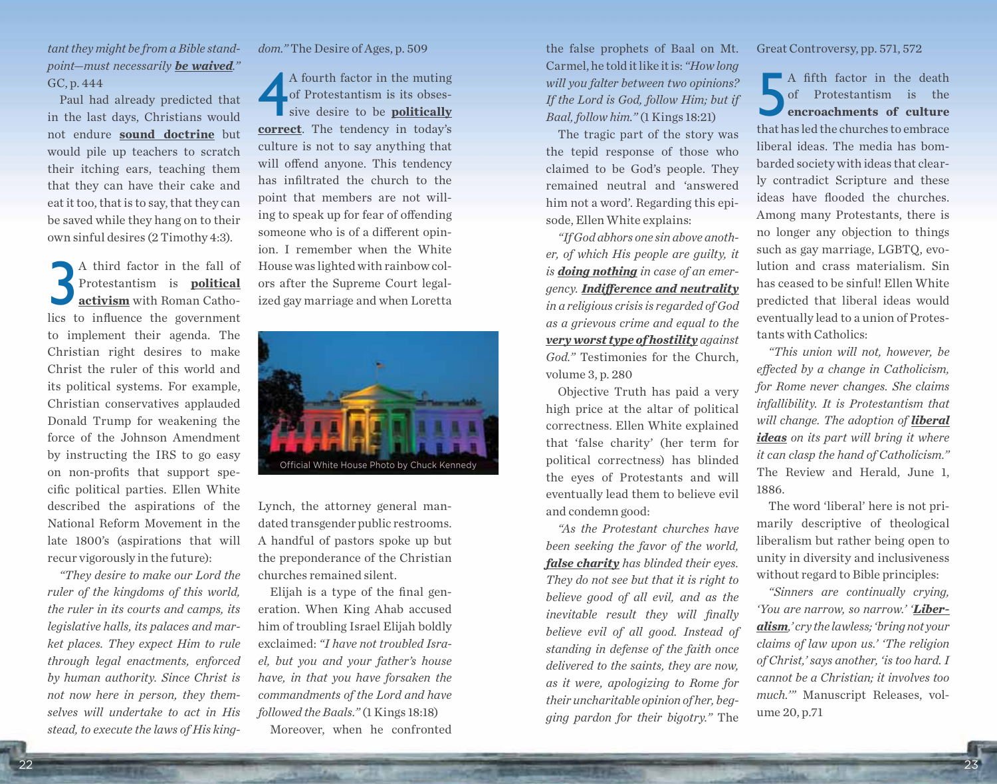*tant they might be from a Bible standpoint—must necessarily be waived."* GC, p. 444

Paul had already predicted that in the last days, Christians would not endure **sound doctrine** but would pile up teachers to scratch their itching ears, teaching them that they can have their cake and eat it too, that is to say, that they can be saved while they hang on to their own sinful desires (2 Timothy 4:3).

A third factor in the fall of<br>Protestantism is **political**<br>activism with Roman Catho-<br>lics to influence the government A third factor in the fall of Protestantism is **political activism** with Roman Cathoto implement their agenda. The Christian right desires to make Christ the ruler of this world and its political systems. For example, Christian conservatives applauded Donald Trump for weakening the force of the Johnson Amendment by instructing the IRS to go easy on non-profits that support specific political parties. Ellen White described the aspirations of the National Reform Movement in the late 1800's (aspirations that will recur vigorously in the future):

*"They desire to make our Lord the ruler of the kingdoms of this world, the ruler in its courts and camps, its legislative halls, its palaces and market places. They expect Him to rule through legal enactments, enforced by human authority. Since Christ is not now here in person, they themselves will undertake to act in His stead, to execute the laws of His king-* *dom."* The Desire of Ages, p. 509

4 A fourth factor in the muting of Protestantism is its obsessive desire to be **politically correct**. The tendency in today's culture is not to say anything that will offend anyone. This tendency has infiltrated the church to the point that members are not willing to speak up for fear of offending someone who is of a different opinion. I remember when the White House was lighted with rainbow colors after the Supreme Court legalized gay marriage and when Loretta



Lynch, the attorney general mandated transgender public restrooms. A handful of pastors spoke up but the preponderance of the Christian churches remained silent.

Elijah is a type of the final generation. When King Ahab accused him of troubling Israel Elijah boldly exclaimed: *"I have not troubled Israel, but you and your father's house have, in that you have forsaken the commandments of the Lord and have followed the Baals."* (1 Kings 18:18) Moreover, when he confronted

the false prophets of Baal on Mt. Carmel, he told it like it is: *"How long will you falter between two opinions? If the Lord is God, follow Him; but if Baal, follow him."* (1 Kings 18:21)

The tragic part of the story was the tepid response of those who claimed to be God's people. They remained neutral and 'answered him not a word'. Regarding this episode, Ellen White explains:

*"If God abhors one sin above another, of which His people are guilty, it is doing nothing in case of an emergency. Indifference and neutrality in a religious crisis is regarded of God as a grievous crime and equal to the very worst type of hostility against God."* Testimonies for the Church, volume 3, p. 280

Objective Truth has paid a very high price at the altar of political correctness. Ellen White explained that 'false charity' (her term for political correctness) has blinded the eyes of Protestants and will eventually lead them to believe evil and condemn good:

*"As the Protestant churches have been seeking the favor of the world, false charity has blinded their eyes. They do not see but that it is right to believe good of all evil, and as the inevitable result they will finally believe evil of all good. Instead of standing in defense of the faith once delivered to the saints, they are now, as it were, apologizing to Rome for their uncharitable opinion of her, begging pardon for their bigotry."* The

Great Controversy, pp. 571, 572

A fifth factor in the death<br>of Protestantism is the<br>encroachments of culture<br>that has led the churches to embrace A fifth factor in the death of Protestantism is the **encroachments of culture** liberal ideas. The media has bombarded society with ideas that clearly contradict Scripture and these ideas have flooded the churches. Among many Protestants, there is no longer any objection to things such as gay marriage, LGBTQ, evolution and crass materialism. Sin has ceased to be sinful! Ellen White predicted that liberal ideas would eventually lead to a union of Protestants with Catholics:

*"This union will not, however, be effected by a change in Catholicism, for Rome never changes. She claims infallibility. It is Protestantism that will change. The adoption of liberal ideas on its part will bring it where it can clasp the hand of Catholicism."* The Review and Herald, June 1, 1886.

The word 'liberal' here is not primarily descriptive of theological liberalism but rather being open to unity in diversity and inclusiveness without regard to Bible principles:

*"Sinners are continually crying, 'You are narrow, so narrow.' 'Liberalism,' cry the lawless; 'bring not your claims of law upon us.' 'The religion of Christ,' says another, 'is too hard. I cannot be a Christian; it involves too much.'"* Manuscript Releases, volume 20, p.71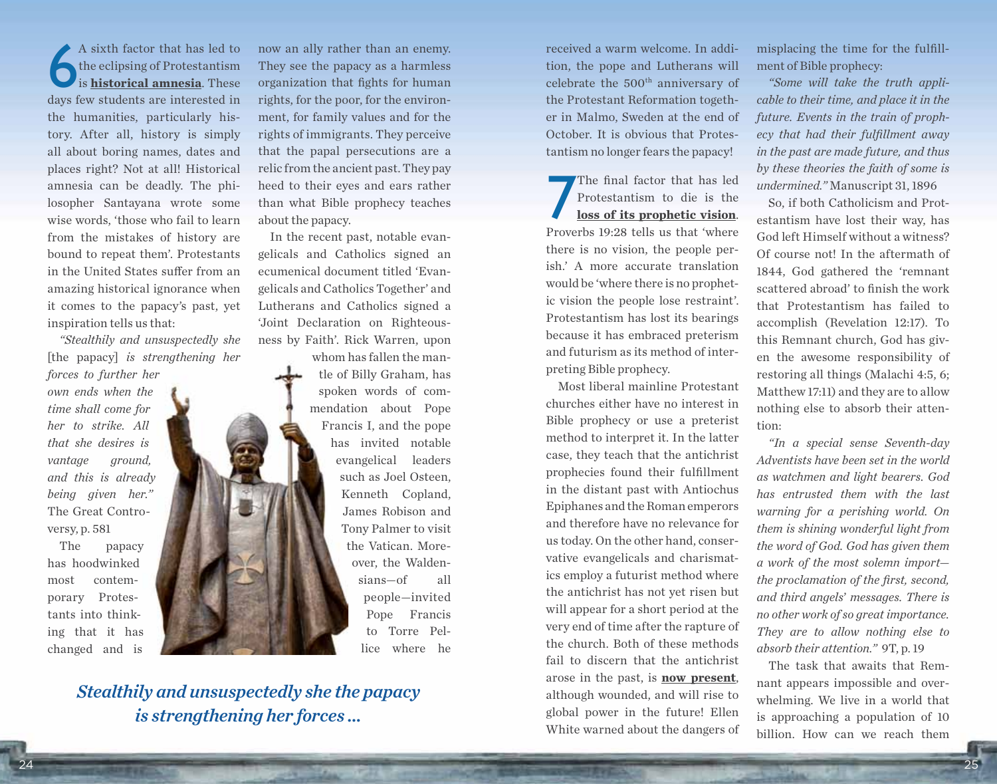A sixth factor that has led to<br>the eclipsing of Protestantism<br>is **historical amnesia**. These<br>days few students are interested in A sixth factor that has led to the eclipsing of Protestantism is **historical amnesia**. These the humanities, particularly history. After all, history is simply all about boring names, dates and places right? Not at all! Historical amnesia can be deadly. The philosopher Santayana wrote some wise words, 'those who fail to learn from the mistakes of history are bound to repeat them'. Protestants in the United States suffer from an amazing historical ignorance when it comes to the papacy's past, yet inspiration tells us that:

*"Stealthily and unsuspectedly she* [the papacy] *is strengthening her* 

*forces to further her own ends when the time shall come for her to strike. All that she desires is vantage ground, and this is already being given her."*  The Great Controversy, p. 581

The papacy has hoodwinked most contemporary Protestants into thinking that it has changed and is

now an ally rather than an enemy. They see the papacy as a harmless organization that fights for human rights, for the poor, for the environment, for family values and for the rights of immigrants. They perceive that the papal persecutions are a relic from the ancient past. They pay heed to their eyes and ears rather than what Bible prophecy teaches about the papacy.

In the recent past, notable evangelicals and Catholics signed an ecumenical document titled 'Evangelicals and Catholics Together' and Lutherans and Catholics signed a 'Joint Declaration on Righteousness by Faith'. Rick Warren, upon whom has fallen the man-

> tle of Billy Graham, has spoken words of commendation about Pope Francis I, and the pope has invited notable evangelical leaders such as Joel Osteen, Kenneth Copland, James Robison and Tony Palmer to visit the Vatican. Moreover, the Waldensians—of all people—invited Pope Francis to Torre Pellice where he

*Stealthily and unsuspectedly she the papacy is strengthening her forces …*

received a warm welcome. In addition, the pope and Lutherans will celebrate the 500<sup>th</sup> anniversary of the Protestant Reformation together in Malmo, Sweden at the end of October. It is obvious that Protestantism no longer fears the papacy!

The final factor that has led<br>Protestantism to die is the<br>loss of its prophetic vision.<br>Proverbs 19:28 tells us that 'where The final factor that has led Protestantism to die is the **loss of its prophetic vision**. there is no vision, the people perish.' A more accurate translation would be 'where there is no prophetic vision the people lose restraint'. Protestantism has lost its bearings because it has embraced preterism and futurism as its method of interpreting Bible prophecy.

Most liberal mainline Protestant churches either have no interest in Bible prophecy or use a preterist method to interpret it. In the latter case, they teach that the antichrist prophecies found their fulfillment in the distant past with Antiochus Epiphanes and the Roman emperors and therefore have no relevance for us today. On the other hand, conservative evangelicals and charismatics employ a futurist method where the antichrist has not yet risen but will appear for a short period at the very end of time after the rapture of the church. Both of these methods fail to discern that the antichrist arose in the past, is **now present**, although wounded, and will rise to global power in the future! Ellen White warned about the dangers of

misplacing the time for the fulfillment of Bible prophecy:

*"Some will take the truth applicable to their time, and place it in the future. Events in the train of prophecy that had their fulfillment away in the past are made future, and thus by these theories the faith of some is undermined."* Manuscript 31, 1896

So, if both Catholicism and Protestantism have lost their way, has God left Himself without a witness? Of course not! In the aftermath of 1844, God gathered the 'remnant scattered abroad' to finish the work that Protestantism has failed to accomplish (Revelation 12:17). To this Remnant church, God has given the awesome responsibility of restoring all things (Malachi 4:5, 6; Matthew 17:11) and they are to allow nothing else to absorb their attention:

*"In a special sense Seventh-day Adventists have been set in the world as watchmen and light bearers. God has entrusted them with the last warning for a perishing world. On them is shining wonderful light from the word of God. God has given them a work of the most solemn import the proclamation of the first, second, and third angels*' *messages. There is no other work of so great importance. They are to allow nothing else to absorb their attention."* 9T, p. 19

The task that awaits that Remnant appears impossible and overwhelming. We live in a world that is approaching a population of 10 billion. How can we reach them